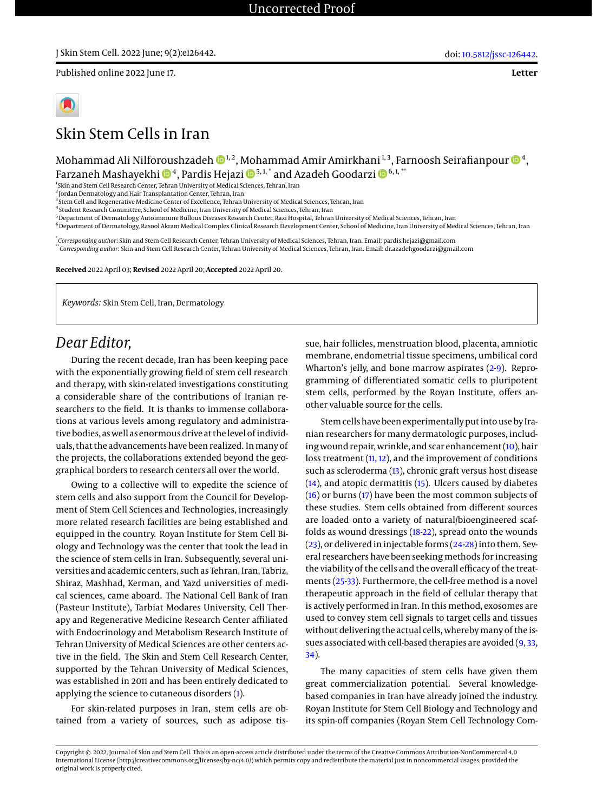Published online 2022 June 17.

# Skin Stem Cells in Iran

Mohammad Ali Nilforoushzadeh  $\mathbf{\Phi}^{1, 2}$ , Mohammad Amir Amirkhani $^{1, 3}$ , Farnoosh Seirafianpour  $\mathbf{\Phi}^{4}$ , Farzaneh Mashayekhi <sup>4</sup> , Pardis Hejazi 5, 1, \* and Azadeh Goodarzi 6, 1, \*\*

<sup>1</sup>Skin and Stem Cell Research Center, Tehran University of Medical Sciences, Tehran, Iran

2 Jordan Dermatology and Hair Transplantation Center, Tehran, Iran

<sup>3</sup>Stem Cell and Regenerative Medicine Center of Excellence, Tehran University of Medical Sciences, Tehran, Iran

4 Student Research Committee, School of Medicine, Iran University of Medical Sciences, Tehran, Iran

<sup>5</sup> Department of Dermatology, Autoimmune Bullous Diseases Research Center, Razi Hospital, Tehran University of Medical Sciences, Tehran, Iran

<sup>6</sup>Department of Dermatology, Rasool Akram Medical Complex Clinical Research Development Center, School of Medicine, Iran University of Medical Sciences, Tehran, Iran

\* *Corresponding author*: Skin and Stem Cell Research Center, Tehran University of Medical Sciences, Tehran, Iran. Email: pardis.hejazi@gmail.com \*\**Corresponding author*: Skin and Stem Cell Research Center, Tehran University of Medical Sciences, Tehran, Iran. Email: dr.azadehgoodarzi@gmail.com

**Received** 2022 April 03; **Revised** 2022 April 20; **Accepted** 2022 April 20.

*Keywords:* Skin Stem Cell, Iran, Dermatology

# *Dear Editor,*

During the recent decade, Iran has been keeping pace with the exponentially growing field of stem cell research and therapy, with skin-related investigations constituting a considerable share of the contributions of Iranian researchers to the field. It is thanks to immense collaborations at various levels among regulatory and administrative bodies, as well as enormous drive at the level of individuals, that the advancements have been realized. In many of the projects, the collaborations extended beyond the geographical borders to research centers all over the world.

Owing to a collective will to expedite the science of stem cells and also support from the Council for Development of Stem Cell Sciences and Technologies, increasingly more related research facilities are being established and equipped in the country. Royan Institute for Stem Cell Biology and Technology was the center that took the lead in the science of stem cells in Iran. Subsequently, several universities and academic centers, such as Tehran, Iran, Tabriz, Shiraz, Mashhad, Kerman, and Yazd universities of medical sciences, came aboard. The National Cell Bank of Iran (Pasteur Institute), Tarbiat Modares University, Cell Therapy and Regenerative Medicine Research Center affiliated with Endocrinology and Metabolism Research Institute of Tehran University of Medical Sciences are other centers active in the field. The Skin and Stem Cell Research Center, supported by the Tehran University of Medical Sciences, was established in 2011 and has been entirely dedicated to applying the science to cutaneous disorders [\(1\)](#page-1-0).

For skin-related purposes in Iran, stem cells are obtained from a variety of sources, such as adipose tis-

sue, hair follicles, menstruation blood, placenta, amniotic membrane, endometrial tissue specimens, umbilical cord Wharton's jelly, and bone marrow aspirates [\(2](#page-1-1)[-9\)](#page-1-2). Reprogramming of differentiated somatic cells to pluripotent stem cells, performed by the Royan Institute, offers another valuable source for the cells.

doi: [10.5812/jssc-126442.](http://dx.doi.org/10.5812/jssc-126442)

**Letter**

Stem cells have been experimentally put into use by Iranian researchers for many dermatologic purposes, including wound repair, wrinkle, and scar enhancement [\(10\)](#page-1-3), hair loss treatment  $(11, 12)$  $(11, 12)$  $(11, 12)$ , and the improvement of conditions such as scleroderma [\(13\)](#page-1-6), chronic graft versus host disease [\(14\)](#page-1-7), and atopic dermatitis [\(15\)](#page-1-8). Ulcers caused by diabetes [\(16\)](#page-1-9) or burns [\(17\)](#page-1-10) have been the most common subjects of these studies. Stem cells obtained from different sources are loaded onto a variety of natural/bioengineered scaffolds as wound dressings [\(18-](#page-2-0)[22\)](#page-2-1), spread onto the wounds [\(23\)](#page-2-2), or delivered in injectable forms [\(24-](#page-2-3)[28\)](#page-2-4) into them. Several researchers have been seeking methods for increasing the viability of the cells and the overall efficacy of the treatments [\(25-](#page-2-5)[33\)](#page-2-6). Furthermore, the cell-free method is a novel therapeutic approach in the field of cellular therapy that is actively performed in Iran. In this method, exosomes are used to convey stem cell signals to target cells and tissues without delivering the actual cells, whereby many of the issues associated with cell-based therapies are avoided [\(9,](#page-1-2) [33,](#page-2-6) [34\)](#page-2-7).

The many capacities of stem cells have given them great commercialization potential. Several knowledgebased companies in Iran have already joined the industry. Royan Institute for Stem Cell Biology and Technology and its spin-off companies (Royan Stem Cell Technology Com-

Copyright © 2022, Journal of Skin and Stem Cell. This is an open-access article distributed under the terms of the Creative Commons Attribution-NonCommercial 4.0 International License (http://creativecommons.org/licenses/by-nc/4.0/) which permits copy and redistribute the material just in noncommercial usages, provided the original work is properly cited.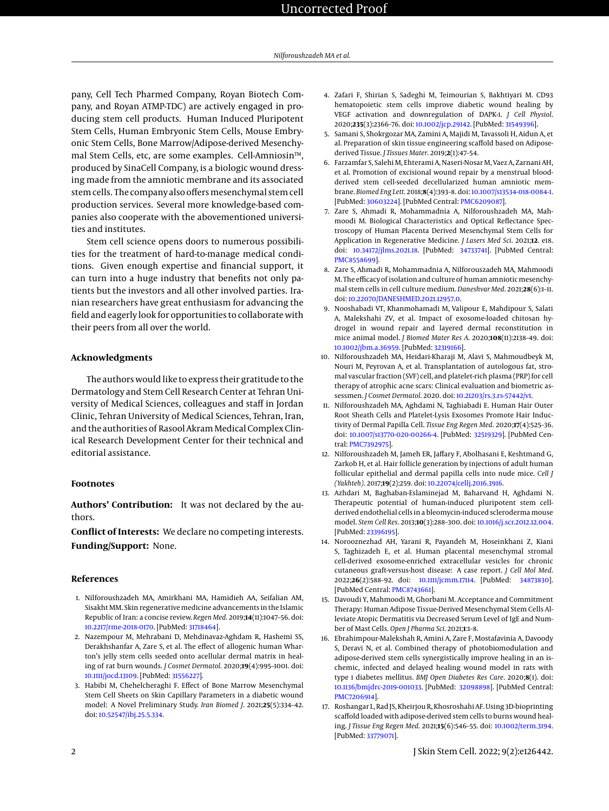## Uncorrected Proof

pany, Cell Tech Pharmed Company, Royan Biotech Company, and Royan ATMP-TDC) are actively engaged in producing stem cell products. Human Induced Pluripotent Stem Cells, Human Embryonic Stem Cells, Mouse Embryonic Stem Cells, Bone Marrow/Adipose-derived Mesenchymal Stem Cells, etc, are some examples. Cell-Amniosin™, produced by SinaCell Company, is a biologic wound dressing made from the amniotic membrane and its associated stem cells. The company also offers mesenchymal stem cell production services. Several more knowledge-based companies also cooperate with the abovementioned universities and institutes.

Stem cell science opens doors to numerous possibilities for the treatment of hard-to-manage medical conditions. Given enough expertise and financial support, it can turn into a huge industry that benefits not only patients but the investors and all other involved parties. Iranian researchers have great enthusiasm for advancing the field and eagerly look for opportunities to collaborate with their peers from all over the world.

#### **Acknowledgments**

The authors would like to express their gratitude to the Dermatology and Stem Cell Research Center at Tehran University of Medical Sciences, colleagues and staff in Jordan Clinic, Tehran University of Medical Sciences, Tehran, Iran, and the authorities of Rasool Akram Medical Complex Clinical Research Development Center for their technical and editorial assistance.

#### **Footnotes**

**Authors' Contribution:** It was not declared by the authors.

**Conflict of Interests:** We declare no competing interests. **Funding/Support:** None.

#### **References**

- <span id="page-1-0"></span>1. Nilforoushzadeh MA, Amirkhani MA, Hamidieh AA, Seifalian AM, Sisakht MM. Skin regenerative medicine advancements in the Islamic Republic of Iran: a concise review. *Regen Med*. 2019;**14**(11):1047–56. doi: [10.2217/rme-2018-0170.](http://dx.doi.org/10.2217/rme-2018-0170) [PubMed: [31718464\]](http://www.ncbi.nlm.nih.gov/pubmed/31718464).
- <span id="page-1-1"></span>2. Nazempour M, Mehrabani D, Mehdinavaz-Aghdam R, Hashemi SS, Derakhshanfar A, Zare S, et al. The effect of allogenic human Wharton's jelly stem cells seeded onto acellular dermal matrix in healing of rat burn wounds. *J Cosmet Dermatol*. 2020;**19**(4):995–1001. doi: [10.1111/jocd.13109.](http://dx.doi.org/10.1111/jocd.13109) [PubMed: [31556227\]](http://www.ncbi.nlm.nih.gov/pubmed/31556227).
- 3. Habibi M, Chehelcheraghi F. Effect of Bone Marrow Mesenchymal Stem Cell Sheets on Skin Capillary Parameters in a diabetic wound model: A Novel Preliminary Study. *Iran Biomed J*. 2021;**25**(5):334–42. doi: [10.52547/ibj.25.5.334.](http://dx.doi.org/10.52547/ibj.25.5.334)
- 4. Zafari F, Shirian S, Sadeghi M, Teimourian S, Bakhtiyari M. CD93 hematopoietic stem cells improve diabetic wound healing by VEGF activation and downregulation of DAPK-1. *J Cell Physiol*. 2020;**235**(3):2366–76. doi: [10.1002/jcp.29142.](http://dx.doi.org/10.1002/jcp.29142) [PubMed: [31549396\]](http://www.ncbi.nlm.nih.gov/pubmed/31549396).
- 5. Samani S, Shokrgozar MA, Zamini A, Majidi M, Tavassoli H, Aidun A, et al. Preparation of skin tissue engineering scaffold based on Adiposederived Tissue. *J Tissues Mater*. 2019;**2**(1):47–54.
- 6. Farzamfar S, Salehi M, Ehterami A, Naseri-Nosar M, Vaez A, Zarnani AH, et al. Promotion of excisional wound repair by a menstrual bloodderived stem cell-seeded decellularized human amniotic membrane. *Biomed Eng Lett*. 2018;**8**(4):393–8. doi: [10.1007/s13534-018-0084-1.](http://dx.doi.org/10.1007/s13534-018-0084-1) [PubMed: [30603224\]](http://www.ncbi.nlm.nih.gov/pubmed/30603224). [PubMed Central: [PMC6209087\]](https://www.ncbi.nlm.nih.gov/pmc/articles/PMC6209087).
- 7. Zare S, Ahmadi R, Mohammadnia A, Nilforoushzadeh MA, Mahmoodi M. Biological Characteristics and Optical Reflectance Spectroscopy of Human Placenta Derived Mesenchymal Stem Cells for Application in Regenerative Medicine. *J Lasers Med Sci*. 2021;**12**. e18. doi: [10.34172/jlms.2021.18.](http://dx.doi.org/10.34172/jlms.2021.18) [PubMed: [34733741\]](http://www.ncbi.nlm.nih.gov/pubmed/34733741). [PubMed Central: [PMC8558699\]](https://www.ncbi.nlm.nih.gov/pmc/articles/PMC8558699).
- 8. Zare S, Ahmadi R, Mohammadnia A, Nilforouszadeh MA, Mahmoodi M. The efficacy of isolation and culture of human amniotic mesenchymal stem cells in cell culture medium. *Daneshvar Med*. 2021;**28**(6):1–11. doi: [10.22070/DANESHMED.2021.12957.0.](http://dx.doi.org/10.22070/DANESHMED.2021.12957.0)
- <span id="page-1-2"></span>9. Nooshabadi VT, Khanmohamadi M, Valipour E, Mahdipour S, Salati A, Malekshahi ZV, et al. Impact of exosome-loaded chitosan hydrogel in wound repair and layered dermal reconstitution in mice animal model. *J Biomed Mater Res A*. 2020;**108**(11):2138–49. doi: [10.1002/jbm.a.36959.](http://dx.doi.org/10.1002/jbm.a.36959) [PubMed: [32319166\]](http://www.ncbi.nlm.nih.gov/pubmed/32319166).
- <span id="page-1-3"></span>10. Nilforoushzadeh MA, Heidari-Kharaji M, Alavi S, Mahmoudbeyk M, Nouri M, Peyrovan A, et al. Transplantation of autologous fat, stromal vascular fraction (SVF) cell, and platelet-rich plasma (PRP) for cell therapy of atrophic acne scars: Clinical evaluation and biometric assessmen. *J Cosmet Dermatol*. 2020. doi: [10.21203/rs.3.rs-57442/v1.](http://dx.doi.org/10.21203/rs.3.rs-57442/v1)
- <span id="page-1-4"></span>11. Nilforoushzadeh MA, Aghdami N, Taghiabadi E. Human Hair Outer Root Sheath Cells and Platelet-Lysis Exosomes Promote Hair Inductivity of Dermal Papilla Cell. *Tissue Eng Regen Med*. 2020;**17**(4):525–36. doi: [10.1007/s13770-020-00266-4.](http://dx.doi.org/10.1007/s13770-020-00266-4) [PubMed: [32519329\]](http://www.ncbi.nlm.nih.gov/pubmed/32519329). [PubMed Central: [PMC7392975\]](https://www.ncbi.nlm.nih.gov/pmc/articles/PMC7392975).
- <span id="page-1-5"></span>12. Nilforoushzadeh M, Jameh ER, Jaffary F, Abolhasani E, Keshtmand G, Zarkob H, et al. Hair follicle generation by injections of adult human follicular epithelial and dermal papilla cells into nude mice. *Cell J (Yakhteh)*. 2017;**19**(2):259. doi: [10.22074/cellj.2016.3916.](http://dx.doi.org/10.22074/cellj.2016.3916)
- <span id="page-1-6"></span>13. Azhdari M, Baghaban-Eslaminejad M, Baharvand H, Aghdami N. Therapeutic potential of human-induced pluripotent stem cellderived endothelial cells in a bleomycin-induced scleroderma mouse model. *Stem Cell Res*. 2013;**10**(3):288–300. doi: [10.1016/j.scr.2012.12.004.](http://dx.doi.org/10.1016/j.scr.2012.12.004) [PubMed: [23396195\]](http://www.ncbi.nlm.nih.gov/pubmed/23396195).
- <span id="page-1-7"></span>14. Norooznezhad AH, Yarani R, Payandeh M, Hoseinkhani Z, Kiani S, Taghizadeh E, et al. Human placental mesenchymal stromal cell-derived exosome-enriched extracellular vesicles for chronic cutaneous graft-versus-host disease: A case report. *J Cell Mol Med*. 2022;**26**(2):588–92. doi: [10.1111/jcmm.17114.](http://dx.doi.org/10.1111/jcmm.17114) [PubMed: [34873830\]](http://www.ncbi.nlm.nih.gov/pubmed/34873830). [PubMed Central: [PMC8743661\]](https://www.ncbi.nlm.nih.gov/pmc/articles/PMC8743661).
- <span id="page-1-8"></span>15. Davoudi Y, Mahmoodi M, Ghorbani M. Acceptance and Commitment Therapy: Human Adipose Tissue-Derived Mesenchymal Stem Cells Alleviate Atopic Dermatitis via Decreased Serum Level of IgE and Number of Mast Cells. *Open J Pharma Sci*. 2021;**1**:1–8.
- <span id="page-1-9"></span>16. Ebrahimpour-Malekshah R, Amini A, Zare F, Mostafavinia A, Davoody S, Deravi N, et al. Combined therapy of photobiomodulation and adipose-derived stem cells synergistically improve healing in an ischemic, infected and delayed healing wound model in rats with type 1 diabetes mellitus. *BMJ Open Diabetes Res Care*. 2020;**8**(1). doi: [10.1136/bmjdrc-2019-001033.](http://dx.doi.org/10.1136/bmjdrc-2019-001033) [PubMed: [32098898\]](http://www.ncbi.nlm.nih.gov/pubmed/32098898). [PubMed Central: [PMC7206914\]](https://www.ncbi.nlm.nih.gov/pmc/articles/PMC7206914).
- <span id="page-1-10"></span>17. Roshangar L, Rad JS, Kheirjou R, Khosroshahi AF. Using 3D-bioprinting scaffold loaded with adipose-derived stem cells to burns wound healing. *J Tissue Eng Regen Med*. 2021;**15**(6):546–55. doi: [10.1002/term.3194.](http://dx.doi.org/10.1002/term.3194) [PubMed: [33779071\]](http://www.ncbi.nlm.nih.gov/pubmed/33779071).